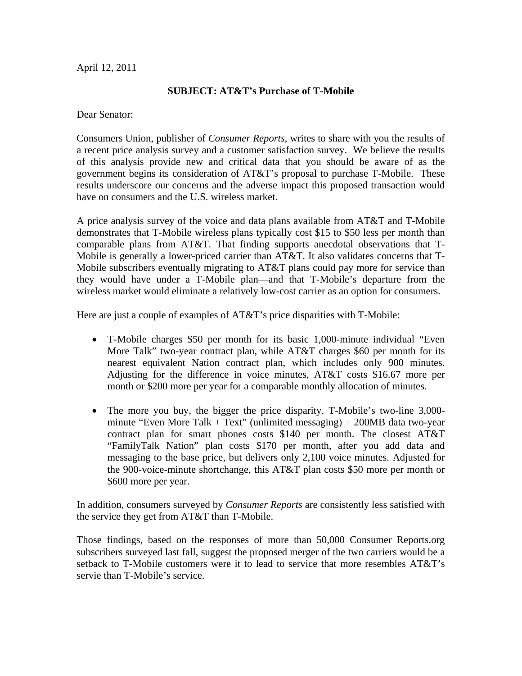## April 12, 2011

## **SUBJECT: AT&T's Purchase of T-Mobile**

Dear Senator:

Consumers Union, publisher of *Consumer Reports*, writes to share with you the results of a recent price analysis survey and a customer satisfaction survey. We believe the results of this analysis provide new and critical data that you should be aware of as the government begins its consideration of AT&T's proposal to purchase T-Mobile. These results underscore our concerns and the adverse impact this proposed transaction would have on consumers and the U.S. wireless market.

A price analysis survey of the voice and data plans available from AT&T and T-Mobile demonstrates that T-Mobile wireless plans typically cost \$15 to \$50 less per month than comparable plans from AT&T. That finding supports anecdotal observations that T-Mobile is generally a lower-priced carrier than AT&T. It also validates concerns that T-Mobile subscribers eventually migrating to AT&T plans could pay more for service than they would have under a T-Mobile plan—and that T-Mobile's departure from the wireless market would eliminate a relatively low-cost carrier as an option for consumers.

Here are just a couple of examples of AT&T's price disparities with T-Mobile:

- T-Mobile charges \$50 per month for its basic 1,000-minute individual "Even More Talk" two-year contract plan, while AT&T charges \$60 per month for its nearest equivalent Nation contract plan, which includes only 900 minutes. Adjusting for the difference in voice minutes, AT&T costs \$16.67 more per month or \$200 more per year for a comparable monthly allocation of minutes.
- The more you buy, the bigger the price disparity. T-Mobile's two-line 3,000 minute "Even More Talk  $+$  Text" (unlimited messaging)  $+$  200MB data two-year contract plan for smart phones costs \$140 per month. The closest AT&T "FamilyTalk Nation" plan costs \$170 per month, after you add data and messaging to the base price, but delivers only 2,100 voice minutes. Adjusted for the 900-voice-minute shortchange, this AT&T plan costs \$50 more per month or \$600 more per year.

In addition, consumers surveyed by *Consumer Reports* are consistently less satisfied with the service they get from AT&T than T-Mobile.

Those findings, based on the responses of more than 50,000 Consumer Reports.org subscribers surveyed last fall, suggest the proposed merger of the two carriers would be a setback to T-Mobile customers were it to lead to service that more resembles AT&T's servie than T-Mobile's service.